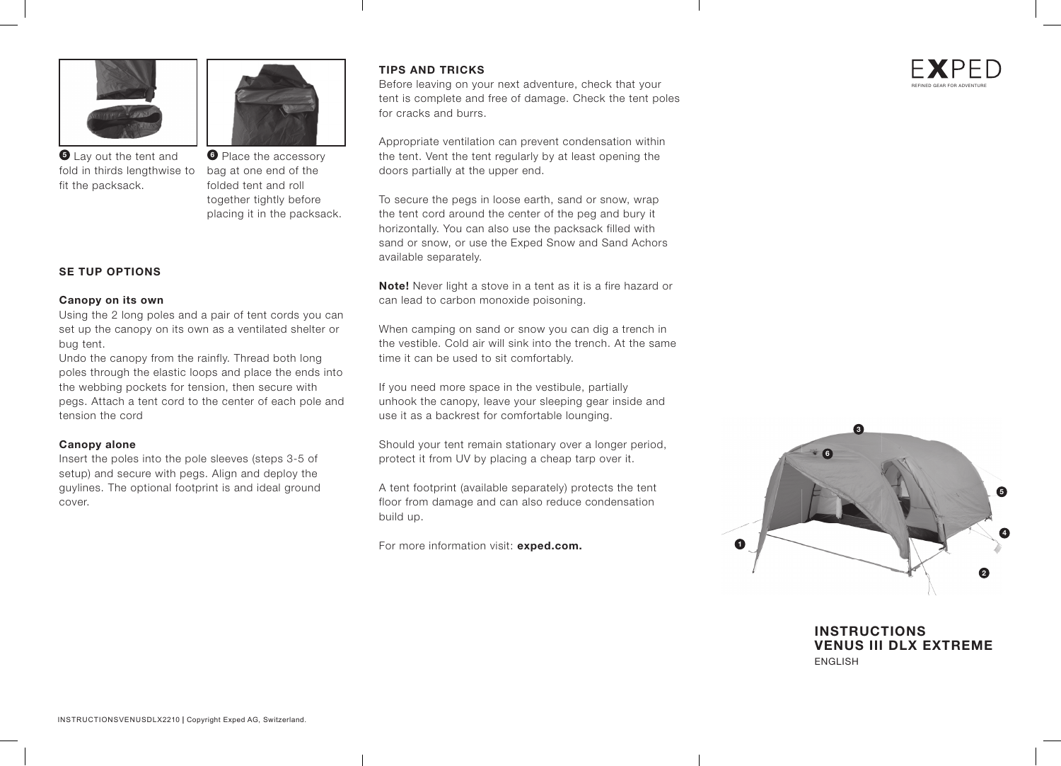



fold in thirds lengthwise to bag at one end of the **5** Lay out the tent and fit the packsack.

**6** Place the accessory folded tent and roll together tightly before placing it in the packsack.

### **SE TUP OPTIONS**

#### **Canopy on its own**

Using the 2 long poles and a pair of tent cords you can set up the canopy on its own as a ventilated shelter or bug tent.

Undo the canopy from the rainfly. Thread both long poles through the elastic loops and place the ends into the webbing pockets for tension, then secure with pegs. Attach a tent cord to the center of each pole and tension the cord

#### **Canopy alone**

Insert the poles into the pole sleeves (steps 3-5 of setup) and secure with pegs. Align and deploy the guylines. The optional footprint is and ideal ground cover.

### **TIPS AND TRICKS**

Before leaving on your next adventure, check that your tent is complete and free of damage. Check the tent poles for cracks and burrs.

Appropriate ventilation can prevent condensation within the tent. Vent the tent regularly by at least opening the doors partially at the upper end.

To secure the pegs in loose earth, sand or snow, wrap the tent cord around the center of the peg and bury it horizontally. You can also use the packsack filled with sand or snow, or use the Exped Snow and Sand Achors available separately.

**Note!** Never light a stove in a tent as it is a fire hazard or can lead to carbon monoxide poisoning.

When camping on sand or snow you can dig a trench in the vestible. Cold air will sink into the trench. At the same time it can be used to sit comfortably.

If you need more space in the vestibule, partially unhook the canopy, leave your sleeping gear inside and use it as a backrest for comfortable lounging.

Should your tent remain stationary over a longer period, protect it from UV by placing a cheap tarp over it.

A tent footprint (available separately) protects the tent floor from damage and can also reduce condensation build up.

For more information visit: **exped.com.**



**INSTRUCTIONS VENUS III DLX EXTREME** ENGLISH